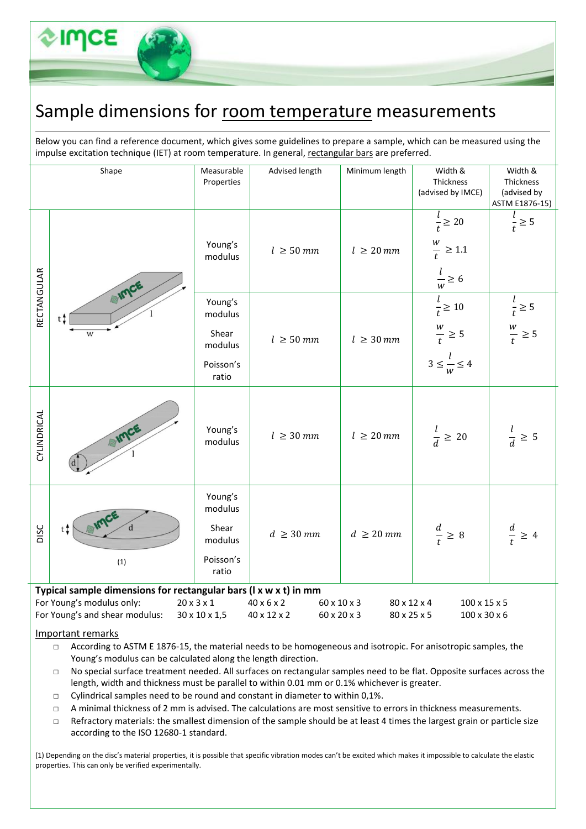## Sample dimensions for room temperature measurements

Below you can find a reference document, which gives some guidelines to prepare a sample, which can be measured using the impulse excitation technique (IET) at room temperature. In general, rectangular bars are preferred.

| Shape       |                                                                                                                                 | Measurable<br>Properties                                     | Advised length                                                      | Minimum length             | Width &<br>Thickness<br>(advised by IMCE)                                   | Width &<br>Thickness<br>(advised by<br>ASTM E1876-15) |
|-------------|---------------------------------------------------------------------------------------------------------------------------------|--------------------------------------------------------------|---------------------------------------------------------------------|----------------------------|-----------------------------------------------------------------------------|-------------------------------------------------------|
|             |                                                                                                                                 | Young's<br>modulus                                           | $l \geq 50$ mm                                                      | $l \geq 20$ mm             | $\frac{l}{t} \geq 20$<br>$\frac{w}{t} \ge 1.1$<br>$\frac{1}{w} \ge 6$       | $\frac{l}{t} \geq 5$                                  |
| RECTANGULAR | EIMCE<br>$t^*$<br>W                                                                                                             | Young's<br>modulus<br>Shear<br>modulus<br>Poisson's<br>ratio | $l \geq 50$ mm                                                      | $l \geq 30$ mm             | $\frac{l}{t} \ge 10$<br>$\frac{w}{t} \geq 5$<br>$3 \leq \frac{l}{w} \leq 4$ | $\frac{l}{t} \geq 5$<br>$\frac{w}{t} \ge 5$           |
| CYLINDRICAL | AIMCE                                                                                                                           | Young's<br>modulus                                           | $l \geq 30$ mm                                                      | $l \geq 20$ mm             | $\frac{l}{d} \geq 20$                                                       | $\frac{l}{d} \geq 5$                                  |
| DISC        | t t<br>(1)                                                                                                                      | Young's<br>modulus<br>Shear<br>modulus<br>Poisson's<br>ratio | $d \geq 30$ mm                                                      | $d \geq 20 \; mm$          | $\frac{d}{t} \geq 8$                                                        | $\frac{d}{t} \geq 4$                                  |
|             | Typical sample dimensions for rectangular bars (I x w x t) in mm<br>For Young's modulus only:<br>For Young's and shear modulus: | $20 \times 3 \times 1$<br>30 x 10 x 1,5                      | $40 \times 6 \times 2$<br>60 x 10 x 3<br>60 x 20 x 3<br>40 x 12 x 2 | 80 x 12 x 4<br>80 x 25 x 5 | $100 \times 15 \times 5$<br>100 x 30 x 6                                    |                                                       |

## Important remarks

□ According to ASTM E 1876-15, the material needs to be homogeneous and isotropic. For anisotropic samples, the Young's modulus can be calculated along the length direction.

- □ No special surface treatment needed. All surfaces on rectangular samples need to be flat. Opposite surfaces across the length, width and thickness must be parallel to within 0.01 mm or 0.1% whichever is greater.
- $\Box$  Cylindrical samples need to be round and constant in diameter to within 0,1%.
- □ A minimal thickness of 2 mm is advised. The calculations are most sensitive to errors in thickness measurements.
- $\Box$  Refractory materials: the smallest dimension of the sample should be at least 4 times the largest grain or particle size according to the ISO 12680-1 standard.

(1) Depending on the disc's material properties, it is possible that specific vibration modes can't be excited which makes it impossible to calculate the elastic properties. This can only be verified experimentally.